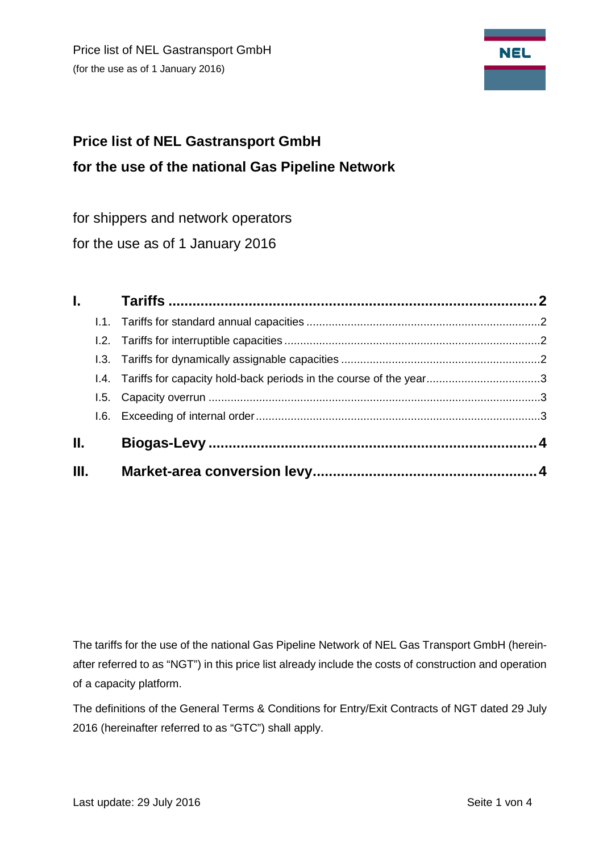Price list of NEL Gastransport GmbH (for the use as of 1 January 2016)



# **Price list of NEL Gastransport GmbH for the use of the national Gas Pipeline Network**

for shippers and network operators

for the use as of 1 January 2016

| <b>L</b> |                                                                        |
|----------|------------------------------------------------------------------------|
|          |                                                                        |
|          |                                                                        |
|          |                                                                        |
|          |                                                                        |
|          |                                                                        |
|          |                                                                        |
|          |                                                                        |
| Ш.       |                                                                        |
|          | 1.4. Tariffs for capacity hold-back periods in the course of the year3 |

The tariffs for the use of the national Gas Pipeline Network of NEL Gas Transport GmbH (hereinafter referred to as "NGT") in this price list already include the costs of construction and operation of a capacity platform.

The definitions of the General Terms & Conditions for Entry/Exit Contracts of NGT dated 29 July 2016 (hereinafter referred to as "GTC") shall apply.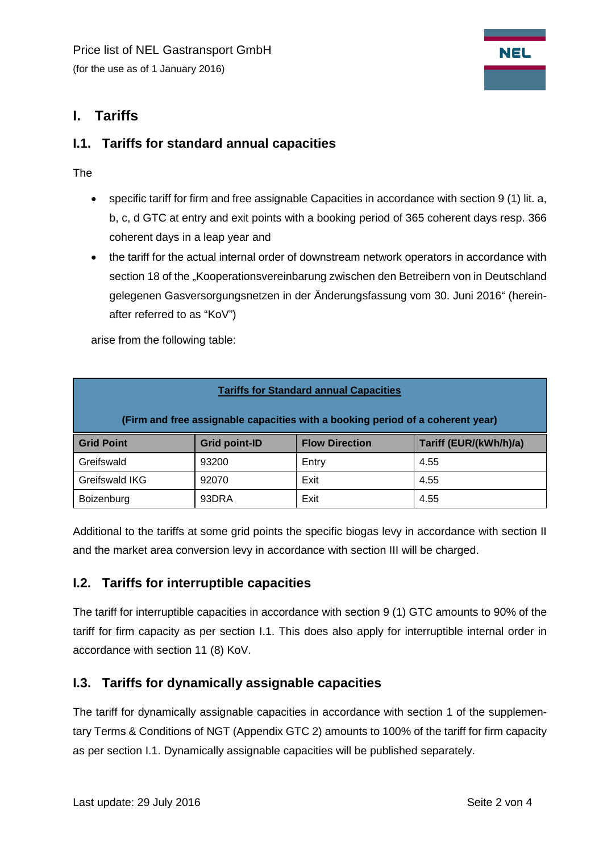# <span id="page-1-0"></span>**I. Tariffs**

## <span id="page-1-1"></span>**I.1. Tariffs for standard annual capacities**

The

- specific tariff for firm and free assignable Capacities in accordance with section 9 (1) lit. a, b, c, d GTC at entry and exit points with a booking period of 365 coherent days resp. 366 coherent days in a leap year and
- the tariff for the actual internal order of downstream network operators in accordance with section 18 of the "Kooperationsvereinbarung zwischen den Betreibern von in Deutschland gelegenen Gasversorgungsnetzen in der Änderungsfassung vom 30. Juni 2016" (hereinafter referred to as "KoV")

arise from the following table:

| <b>Tariffs for Standard annual Capacities</b>                                  |                      |                       |                        |  |  |  |  |
|--------------------------------------------------------------------------------|----------------------|-----------------------|------------------------|--|--|--|--|
| (Firm and free assignable capacities with a booking period of a coherent year) |                      |                       |                        |  |  |  |  |
| <b>Grid Point</b>                                                              | <b>Grid point-ID</b> | <b>Flow Direction</b> | Tariff (EUR/(kWh/h)/a) |  |  |  |  |
| Greifswald                                                                     | 93200                | Entry                 | 4.55                   |  |  |  |  |
| Greifswald IKG                                                                 | 92070                | Exit                  | 4.55                   |  |  |  |  |
| Boizenburg                                                                     | 93DRA                | Exit                  | 4.55                   |  |  |  |  |

Additional to the tariffs at some grid points the specific biogas levy in accordance with section II and the market area conversion levy in accordance with section III will be charged.

#### <span id="page-1-2"></span>**I.2. Tariffs for interruptible capacities**

The tariff for interruptible capacities in accordance with section 9 (1) GTC amounts to 90% of the tariff for firm capacity as per section I.1. This does also apply for interruptible internal order in accordance with section 11 (8) KoV.

## <span id="page-1-3"></span>**I.3. Tariffs for dynamically assignable capacities**

The tariff for dynamically assignable capacities in accordance with section 1 of the supplementary Terms & Conditions of NGT (Appendix GTC 2) amounts to 100% of the tariff for firm capacity as per section I.1. Dynamically assignable capacities will be published separately.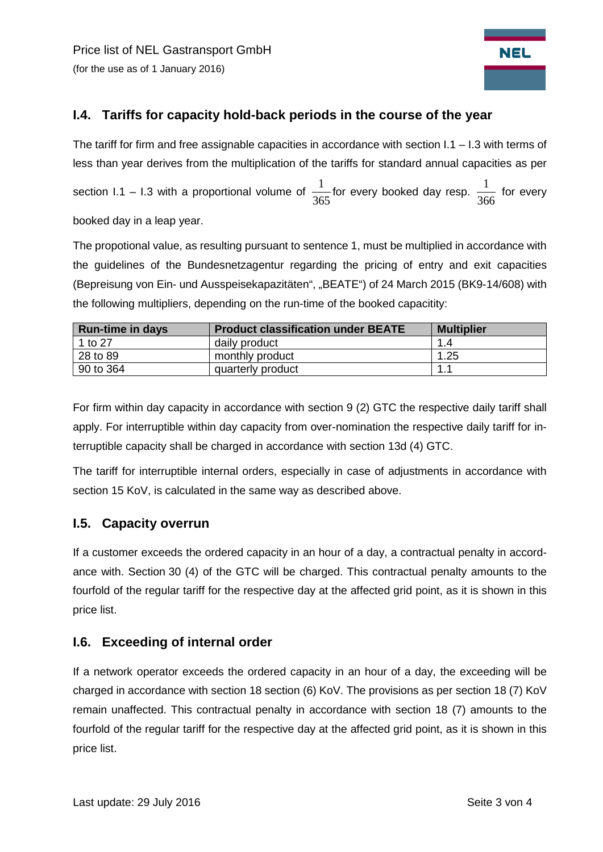

## <span id="page-2-0"></span>**I.4. Tariffs for capacity hold-back periods in the course of the year**

The tariff for firm and free assignable capacities in accordance with section  $1.1 - 1.3$  with terms of less than year derives from the multiplication of the tariffs for standard annual capacities as per section I.1 – I.3 with a proportional volume of  $\frac{1}{365}$  for every booked day resp.  $\frac{1}{366}$  for every booked day in a leap year.

The propotional value, as resulting pursuant to sentence 1, must be multiplied in accordance with the guidelines of the Bundesnetzagentur regarding the pricing of entry and exit capacities (Bepreisung von Ein- und Ausspeisekapazitäten", "BEATE") of 24 March 2015 (BK9-14/608) with the following multipliers, depending on the run-time of the booked capacitity:

| <b>Run-time in days</b> | <b>Product classification under BEATE</b> | <b>Multiplier</b> |
|-------------------------|-------------------------------------------|-------------------|
| 1 to 27                 | daily product                             | 1.4               |
| 28 to 89                | monthly product                           | 1.25              |
| 90 to 364               | quarterly product                         | 1.1               |

For firm within day capacity in accordance with section 9 (2) GTC the respective daily tariff shall apply. For interruptible within day capacity from over-nomination the respective daily tariff for interruptible capacity shall be charged in accordance with section 13d (4) GTC.

The tariff for interruptible internal orders, especially in case of adjustments in accordance with section 15 KoV, is calculated in the same way as described above.

#### <span id="page-2-1"></span>**I.5. Capacity overrun**

If a customer exceeds the ordered capacity in an hour of a day, a contractual penalty in accordance with. Section 30 (4) of the GTC will be charged. This contractual penalty amounts to the fourfold of the regular tariff for the respective day at the affected grid point, as it is shown in this price list.

#### <span id="page-2-2"></span>**I.6. Exceeding of internal order**

If a network operator exceeds the ordered capacity in an hour of a day, the exceeding will be charged in accordance with section 18 section (6) KoV. The provisions as per section 18 (7) KoV remain unaffected. This contractual penalty in accordance with section 18 (7) amounts to the fourfold of the regular tariff for the respective day at the affected grid point, as it is shown in this price list.